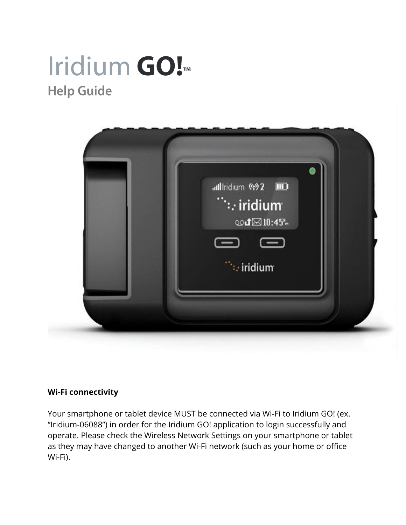# Iridium GO!

# **Help Guide**



# **Wi-Fi connectivity**

Your smartphone or tablet device MUST be connected via Wi-Fi to Iridium GO! (ex. "Iridium-06088") in order for the Iridium GO! application to login successfully and operate. Please check the Wireless Network Settings on your smartphone or tablet as they may have changed to another Wi-Fi network (such as your home or office Wi-Fi).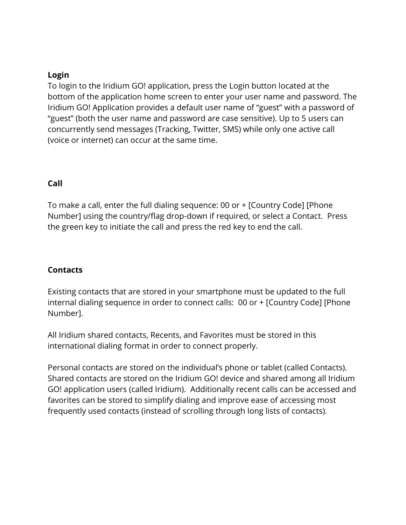#### **Login**

To login to the Iridium GO! application, press the Login button located at the bottom of the application home screen to enter your user name and password. The Iridium GO! Application provides a default user name of "guest" with a password of "guest" (both the user name and password are case sensitive). Up to 5 users can concurrently send messages (Tracking, Twitter, SMS) while only one active call (voice or internet) can occur at the same time.

# **Call**

To make a call, enter the full dialing sequence: 00 or + [Country Code] [Phone Number] using the country/flag drop-down if required, or select a Contact. Press the green key to initiate the call and press the red key to end the call.

# **Contacts**

Existing contacts that are stored in your smartphone must be updated to the full internal dialing sequence in order to connect calls: 00 or + [Country Code] [Phone Number].

All Iridium shared contacts, Recents, and Favorites must be stored in this international dialing format in order to connect properly.

Personal contacts are stored on the individual's phone or tablet (called Contacts). Shared contacts are stored on the Iridium GO! device and shared among all Iridium GO! application users (called Iridium). Additionally recent calls can be accessed and favorites can be stored to simplify dialing and improve ease of accessing most frequently used contacts (instead of scrolling through long lists of contacts).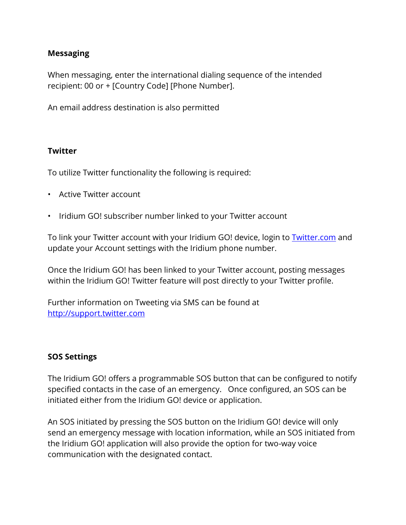# **Messaging**

When messaging, enter the international dialing sequence of the intended recipient: 00 or + [Country Code] [Phone Number].

An email address destination is also permitted

#### **Twitter**

To utilize Twitter functionality the following is required:

- Active Twitter account
- Iridium GO! subscriber number linked to your Twitter account

To link your Twitter account with your Iridium GO! device, login to [Twitter.com](http://twitter.com/) and update your Account settings with the Iridium phone number.

Once the Iridium GO! has been linked to your Twitter account, posting messages within the Iridium GO! Twitter feature will post directly to your Twitter profile.

Further information on Tweeting via SMS can be found at [http://support.twitter.com](http://support.twitter.com/)

# **SOS Settings**

The Iridium GO! offers a programmable SOS button that can be configured to notify specified contacts in the case of an emergency. Once configured, an SOS can be initiated either from the Iridium GO! device or application.

An SOS initiated by pressing the SOS button on the Iridium GO! device will only send an emergency message with location information, while an SOS initiated from the Iridium GO! application will also provide the option for two-way voice communication with the designated contact.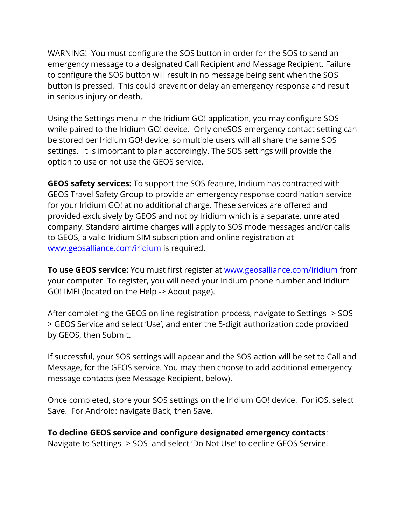WARNING! You must configure the SOS button in order for the SOS to send an emergency message to a designated Call Recipient and Message Recipient. Failure to configure the SOS button will result in no message being sent when the SOS button is pressed. This could prevent or delay an emergency response and result in serious injury or death.

Using the Settings menu in the Iridium GO! application, you may configure SOS while paired to the Iridium GO! device. Only oneSOS emergency contact setting can be stored per Iridium GO! device, so multiple users will all share the same SOS settings. It is important to plan accordingly. The SOS settings will provide the option to use or not use the GEOS service.

**GEOS safety services:** To support the SOS feature, Iridium has contracted with GEOS Travel Safety Group to provide an emergency response coordination service for your Iridium GO! at no additional charge. These services are offered and provided exclusively by GEOS and not by Iridium which is a separate, unrelated company. Standard airtime charges will apply to SOS mode messages and/or calls to GEOS, a valid Iridium SIM subscription and online registration at [www.geosalliance.com/iridium](http://www.geosalliance.com/iridium) is required.

**To use GEOS service:** You must first register at [www.geosalliance.com/iridium](http://www.geosalliance.com/iridium) from your computer. To register, you will need your Iridium phone number and Iridium GO! IMEI (located on the Help -> About page).

After completing the GEOS on-line registration process, navigate to Settings -> SOS- > GEOS Service and select 'Use', and enter the 5-digit authorization code provided by GEOS, then Submit.

If successful, your SOS settings will appear and the SOS action will be set to Call and Message, for the GEOS service. You may then choose to add additional emergency message contacts (see Message Recipient, below).

Once completed, store your SOS settings on the Iridium GO! device. For iOS, select Save. For Android: navigate Back, then Save.

**To decline GEOS service and configure designated emergency contacts**: Navigate to Settings -> SOS and select 'Do Not Use' to decline GEOS Service.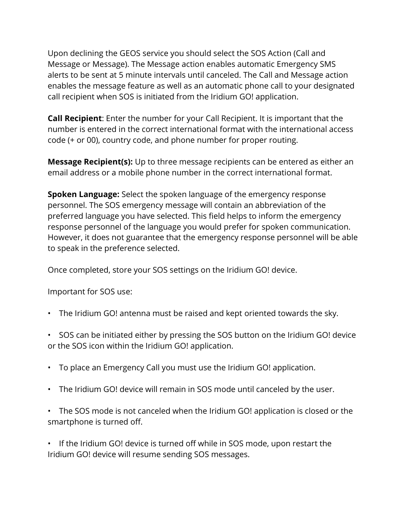Upon declining the GEOS service you should select the SOS Action (Call and Message or Message). The Message action enables automatic Emergency SMS alerts to be sent at 5 minute intervals until canceled. The Call and Message action enables the message feature as well as an automatic phone call to your designated call recipient when SOS is initiated from the Iridium GO! application.

**Call Recipient**: Enter the number for your Call Recipient. It is important that the number is entered in the correct international format with the international access code (+ or 00), country code, and phone number for proper routing.

**Message Recipient(s):** Up to three message recipients can be entered as either an email address or a mobile phone number in the correct international format.

**Spoken Language:** Select the spoken language of the emergency response personnel. The SOS emergency message will contain an abbreviation of the preferred language you have selected. This field helps to inform the emergency response personnel of the language you would prefer for spoken communication. However, it does not guarantee that the emergency response personnel will be able to speak in the preference selected.

Once completed, store your SOS settings on the Iridium GO! device.

Important for SOS use:

- The Iridium GO! antenna must be raised and kept oriented towards the sky.
- SOS can be initiated either by pressing the SOS button on the Iridium GO! device or the SOS icon within the Iridium GO! application.
- To place an Emergency Call you must use the Iridium GO! application.
- The Iridium GO! device will remain in SOS mode until canceled by the user.
- The SOS mode is not canceled when the Iridium GO! application is closed or the smartphone is turned off.

• If the Iridium GO! device is turned off while in SOS mode, upon restart the Iridium GO! device will resume sending SOS messages.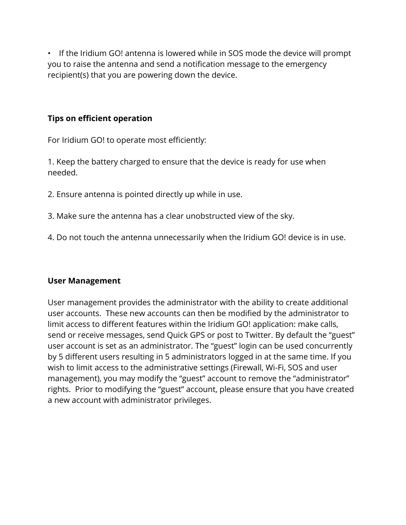• If the Iridium GO! antenna is lowered while in SOS mode the device will prompt you to raise the antenna and send a notification message to the emergency recipient(s) that you are powering down the device.

#### **Tips on efficient operation**

For Iridium GO! to operate most efficiently:

1. Keep the battery charged to ensure that the device is ready for use when needed.

- 2. Ensure antenna is pointed directly up while in use.
- 3. Make sure the antenna has a clear unobstructed view of the sky.
- 4. Do not touch the antenna unnecessarily when the Iridium GO! device is in use.

# **User Management**

User management provides the administrator with the ability to create additional user accounts. These new accounts can then be modified by the administrator to limit access to different features within the Iridium GO! application: make calls, send or receive messages, send Quick GPS or post to Twitter. By default the "guest" user account is set as an administrator. The "guest" login can be used concurrently by 5 different users resulting in 5 administrators logged in at the same time. If you wish to limit access to the administrative settings (Firewall, Wi-Fi, SOS and user management), you may modify the "guest" account to remove the "administrator" rights. Prior to modifying the "guest" account, please ensure that you have created a new account with administrator privileges.